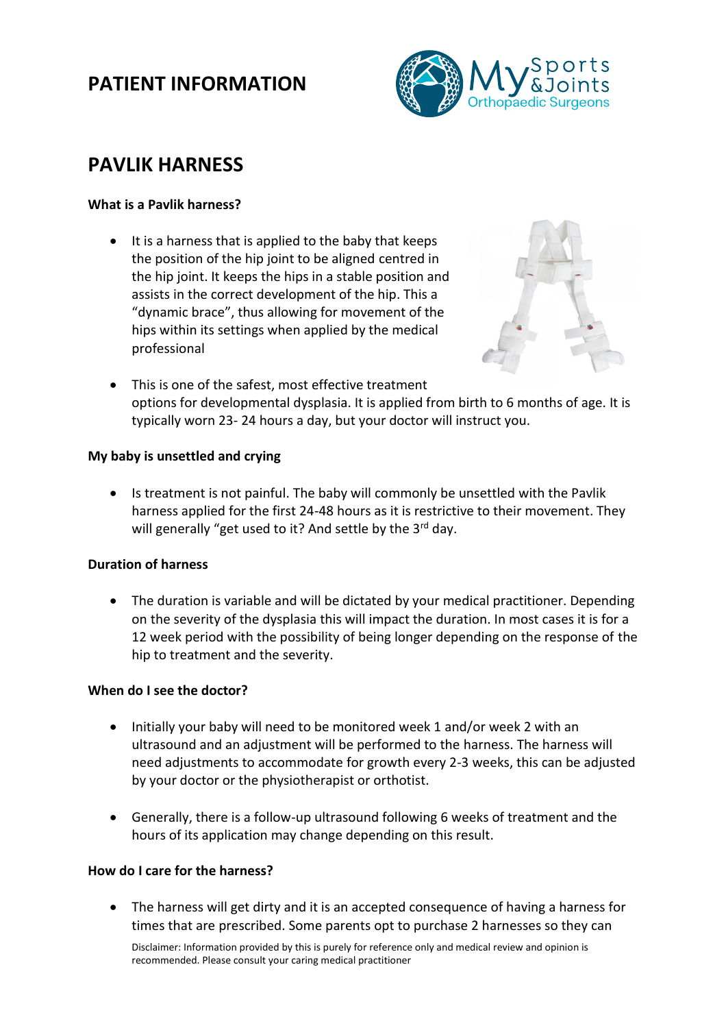# **PATIENT INFORMATION**



# **PAVLIK HARNESS**

## **What is a Pavlik harness?**

• It is a harness that is applied to the baby that keeps the position of the hip joint to be aligned centred in the hip joint. It keeps the hips in a stable position and assists in the correct development of the hip. This a "dynamic brace", thus allowing for movement of the hips within its settings when applied by the medical professional



• This is one of the safest, most effective treatment options for developmental dysplasia. It is applied from birth to 6 months of age. It is typically worn 23- 24 hours a day, but your doctor will instruct you.

## **My baby is unsettled and crying**

• Is treatment is not painful. The baby will commonly be unsettled with the Pavlik harness applied for the first 24-48 hours as it is restrictive to their movement. They will generally "get used to it? And settle by the 3<sup>rd</sup> day.

# **Duration of harness**

• The duration is variable and will be dictated by your medical practitioner. Depending on the severity of the dysplasia this will impact the duration. In most cases it is for a 12 week period with the possibility of being longer depending on the response of the hip to treatment and the severity.

## **When do I see the doctor?**

- Initially your baby will need to be monitored week 1 and/or week 2 with an ultrasound and an adjustment will be performed to the harness. The harness will need adjustments to accommodate for growth every 2-3 weeks, this can be adjusted by your doctor or the physiotherapist or orthotist.
- Generally, there is a follow-up ultrasound following 6 weeks of treatment and the hours of its application may change depending on this result.

# **How do I care for the harness?**

• The harness will get dirty and it is an accepted consequence of having a harness for times that are prescribed. Some parents opt to purchase 2 harnesses so they can

Disclaimer: Information provided by this is purely for reference only and medical review and opinion is recommended. Please consult your caring medical practitioner